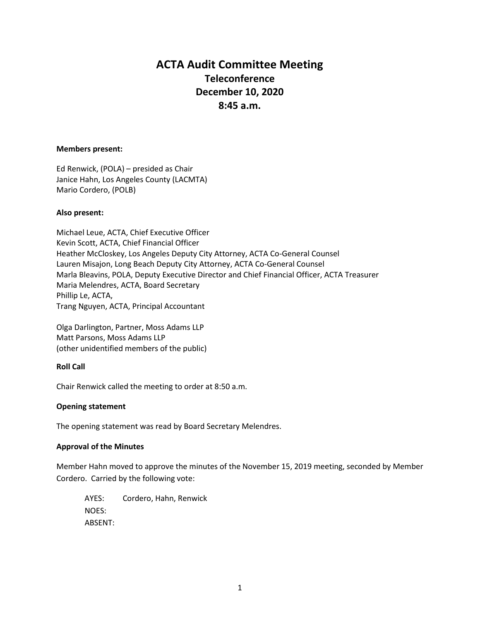# **ACTA Audit Committee Meeting Teleconference December 10, 2020 8:45 a.m.**

#### **Members present:**

Ed Renwick, (POLA) – presided as Chair Janice Hahn, Los Angeles County (LACMTA) Mario Cordero, (POLB)

## **Also present:**

Michael Leue, ACTA, Chief Executive Officer Kevin Scott, ACTA, Chief Financial Officer Heather McCloskey, Los Angeles Deputy City Attorney, ACTA Co-General Counsel Lauren Misajon, Long Beach Deputy City Attorney, ACTA Co-General Counsel Marla Bleavins, POLA, Deputy Executive Director and Chief Financial Officer, ACTA Treasurer Maria Melendres, ACTA, Board Secretary Phillip Le, ACTA, Trang Nguyen, ACTA, Principal Accountant

Olga Darlington, Partner, Moss Adams LLP Matt Parsons, Moss Adams LLP (other unidentified members of the public)

## **Roll Call**

Chair Renwick called the meeting to order at 8:50 a.m.

#### **Opening statement**

The opening statement was read by Board Secretary Melendres.

#### **Approval of the Minutes**

Member Hahn moved to approve the minutes of the November 15, 2019 meeting, seconded by Member Cordero. Carried by the following vote:

AYES: Cordero, Hahn, Renwick NOES: ABSENT: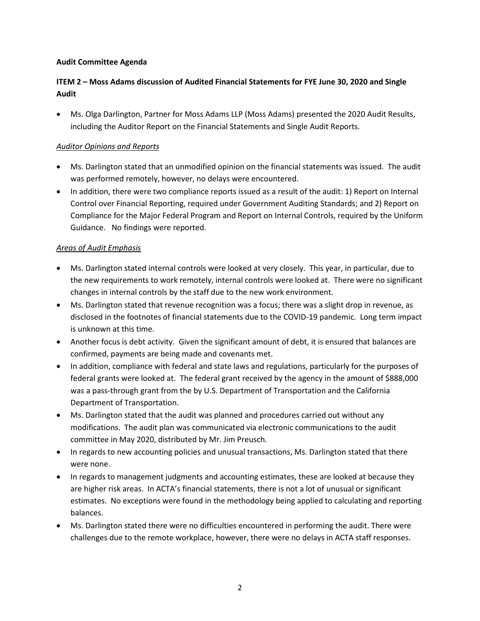# **Audit Committee Agenda**

# **ITEM 2 – Moss Adams discussion of Audited Financial Statements for FYE June 30, 2020 and Single Audit**

• Ms. Olga Darlington, Partner for Moss Adams LLP (Moss Adams) presented the 2020 Audit Results, including the Auditor Report on the Financial Statements and Single Audit Reports.

# *Auditor Opinions and Reports*

- Ms. Darlington stated that an unmodified opinion on the financial statements was issued. The audit was performed remotely, however, no delays were encountered.
- In addition, there were two compliance reports issued as a result of the audit: 1) Report on Internal Control over Financial Reporting, required under Government Auditing Standards; and 2) Report on Compliance for the Major Federal Program and Report on Internal Controls, required by the Uniform Guidance. No findings were reported.

# *Areas of Audit Emphasis*

- Ms. Darlington stated internal controls were looked at very closely. This year, in particular, due to the new requirements to work remotely, internal controls were looked at. There were no significant changes in internal controls by the staff due to the new work environment.
- Ms. Darlington stated that revenue recognition was a focus; there was a slight drop in revenue, as disclosed in the footnotes of financial statements due to the COVID-19 pandemic. Long term impact is unknown at this time.
- Another focus is debt activity. Given the significant amount of debt, it is ensured that balances are confirmed, payments are being made and covenants met.
- In addition, compliance with federal and state laws and regulations, particularly for the purposes of federal grants were looked at. The federal grant received by the agency in the amount of \$888,000 was a pass-through grant from the by U.S. Department of Transportation and the California Department of Transportation.
- Ms. Darlington stated that the audit was planned and procedures carried out without any modifications. The audit plan was communicated via electronic communications to the audit committee in May 2020, distributed by Mr. Jim Preusch.
- In regards to new accounting policies and unusual transactions, Ms. Darlington stated that there were none.
- In regards to management judgments and accounting estimates, these are looked at because they are higher risk areas. In ACTA's financial statements, there is not a lot of unusual or significant estimates. No exceptions were found in the methodology being applied to calculating and reporting balances.
- Ms. Darlington stated there were no difficulties encountered in performing the audit. There were challenges due to the remote workplace, however, there were no delays in ACTA staff responses.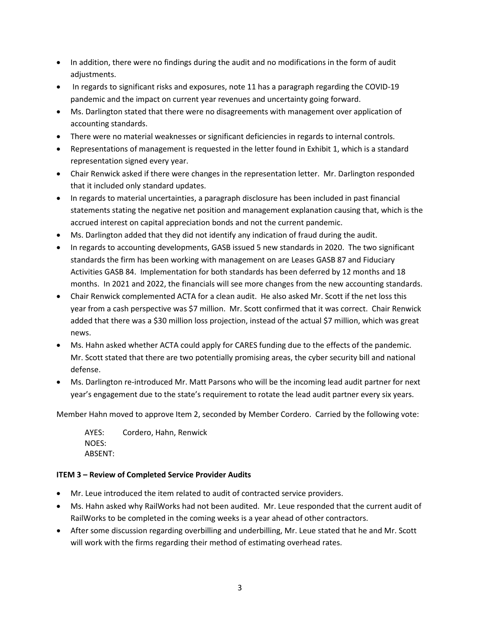- In addition, there were no findings during the audit and no modifications in the form of audit adiustments.
- In regards to significant risks and exposures, note 11 has a paragraph regarding the COVID-19 pandemic and the impact on current year revenues and uncertainty going forward.
- Ms. Darlington stated that there were no disagreements with management over application of accounting standards.
- There were no material weaknesses or significant deficiencies in regards to internal controls.
- Representations of management is requested in the letter found in Exhibit 1, which is a standard representation signed every year.
- Chair Renwick asked if there were changes in the representation letter. Mr. Darlington responded that it included only standard updates.
- In regards to material uncertainties, a paragraph disclosure has been included in past financial statements stating the negative net position and management explanation causing that, which is the accrued interest on capital appreciation bonds and not the current pandemic.
- Ms. Darlington added that they did not identify any indication of fraud during the audit.
- In regards to accounting developments, GASB issued 5 new standards in 2020. The two significant standards the firm has been working with management on are Leases GASB 87 and Fiduciary Activities GASB 84. Implementation for both standards has been deferred by 12 months and 18 months. In 2021 and 2022, the financials will see more changes from the new accounting standards.
- Chair Renwick complemented ACTA for a clean audit. He also asked Mr. Scott if the net loss this year from a cash perspective was \$7 million. Mr. Scott confirmed that it was correct. Chair Renwick added that there was a \$30 million loss projection, instead of the actual \$7 million, which was great news.
- Ms. Hahn asked whether ACTA could apply for CARES funding due to the effects of the pandemic. Mr. Scott stated that there are two potentially promising areas, the cyber security bill and national defense.
- Ms. Darlington re-introduced Mr. Matt Parsons who will be the incoming lead audit partner for next year's engagement due to the state's requirement to rotate the lead audit partner every six years.

Member Hahn moved to approve Item 2, seconded by Member Cordero. Carried by the following vote:

AYES: Cordero, Hahn, Renwick NOES: ABSENT:

# **ITEM 3 – Review of Completed Service Provider Audits**

- Mr. Leue introduced the item related to audit of contracted service providers.
- Ms. Hahn asked why RailWorks had not been audited. Mr. Leue responded that the current audit of RailWorks to be completed in the coming weeks is a year ahead of other contractors.
- After some discussion regarding overbilling and underbilling, Mr. Leue stated that he and Mr. Scott will work with the firms regarding their method of estimating overhead rates.